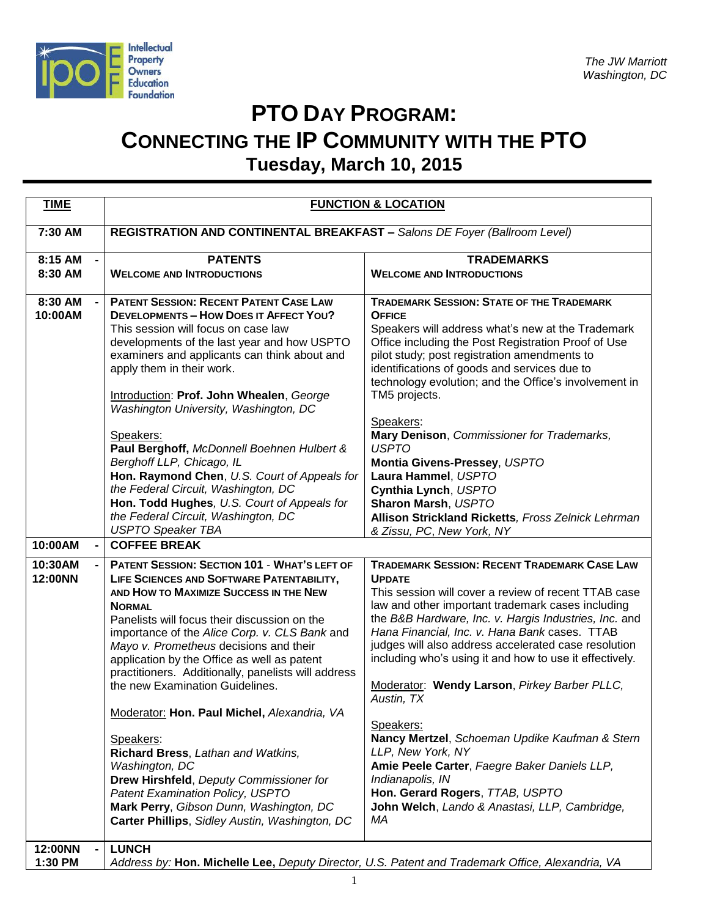

## **PTO DAY PROGRAM: CONNECTING THE IP COMMUNITY WITH THE PTO Tuesday, March 10, 2015**

| <b>TIME</b>        | <b>FUNCTION &amp; LOCATION</b>                                                                                                                                                                                                                                                                                                                                                                                                                                                                                                                                                                                                                                                                                                           |                                                                                                                                                                                                                                                                                                                                                                                                                                                                                                                                                                                                                                                                                                                                |  |
|--------------------|------------------------------------------------------------------------------------------------------------------------------------------------------------------------------------------------------------------------------------------------------------------------------------------------------------------------------------------------------------------------------------------------------------------------------------------------------------------------------------------------------------------------------------------------------------------------------------------------------------------------------------------------------------------------------------------------------------------------------------------|--------------------------------------------------------------------------------------------------------------------------------------------------------------------------------------------------------------------------------------------------------------------------------------------------------------------------------------------------------------------------------------------------------------------------------------------------------------------------------------------------------------------------------------------------------------------------------------------------------------------------------------------------------------------------------------------------------------------------------|--|
| 7:30 AM            | REGISTRATION AND CONTINENTAL BREAKFAST - Salons DE Foyer (Ballroom Level)                                                                                                                                                                                                                                                                                                                                                                                                                                                                                                                                                                                                                                                                |                                                                                                                                                                                                                                                                                                                                                                                                                                                                                                                                                                                                                                                                                                                                |  |
| 8:15 AM            | <b>PATENTS</b>                                                                                                                                                                                                                                                                                                                                                                                                                                                                                                                                                                                                                                                                                                                           | <b>TRADEMARKS</b>                                                                                                                                                                                                                                                                                                                                                                                                                                                                                                                                                                                                                                                                                                              |  |
| 8:30 AM            | <b>WELCOME AND INTRODUCTIONS</b>                                                                                                                                                                                                                                                                                                                                                                                                                                                                                                                                                                                                                                                                                                         | <b>WELCOME AND INTRODUCTIONS</b>                                                                                                                                                                                                                                                                                                                                                                                                                                                                                                                                                                                                                                                                                               |  |
| 8:30 AM<br>10:00AM | <b>PATENT SESSION: RECENT PATENT CASE LAW</b><br><b>DEVELOPMENTS - HOW DOES IT AFFECT YOU?</b>                                                                                                                                                                                                                                                                                                                                                                                                                                                                                                                                                                                                                                           | <b>TRADEMARK SESSION: STATE OF THE TRADEMARK</b><br><b>OFFICE</b>                                                                                                                                                                                                                                                                                                                                                                                                                                                                                                                                                                                                                                                              |  |
|                    | This session will focus on case law<br>developments of the last year and how USPTO<br>examiners and applicants can think about and<br>apply them in their work.<br>Introduction: Prof. John Whealen, George<br>Washington University, Washington, DC                                                                                                                                                                                                                                                                                                                                                                                                                                                                                     | Speakers will address what's new at the Trademark<br>Office including the Post Registration Proof of Use<br>pilot study; post registration amendments to<br>identifications of goods and services due to<br>technology evolution; and the Office's involvement in<br>TM5 projects.                                                                                                                                                                                                                                                                                                                                                                                                                                             |  |
|                    | Speakers:<br>Paul Berghoff, McDonnell Boehnen Hulbert &<br>Berghoff LLP, Chicago, IL<br>Hon. Raymond Chen, U.S. Court of Appeals for<br>the Federal Circuit, Washington, DC<br>Hon. Todd Hughes, U.S. Court of Appeals for<br>the Federal Circuit, Washington, DC<br><b>USPTO Speaker TBA</b>                                                                                                                                                                                                                                                                                                                                                                                                                                            | Speakers:<br>Mary Denison, Commissioner for Trademarks,<br><b>USPTO</b><br>Montia Givens-Pressey, USPTO<br>Laura Hammel, USPTO<br>Cynthia Lynch, USPTO<br>Sharon Marsh, USPTO<br>Allison Strickland Ricketts, Fross Zelnick Lehrman<br>& Zissu, PC, New York, NY                                                                                                                                                                                                                                                                                                                                                                                                                                                               |  |
| 10:00AM            | <b>COFFEE BREAK</b>                                                                                                                                                                                                                                                                                                                                                                                                                                                                                                                                                                                                                                                                                                                      |                                                                                                                                                                                                                                                                                                                                                                                                                                                                                                                                                                                                                                                                                                                                |  |
| 10:30AM<br>12:00NN | PATENT SESSION: SECTION 101 - WHAT'S LEFT OF<br>LIFE SCIENCES AND SOFTWARE PATENTABILITY,<br>AND HOW TO MAXIMIZE SUCCESS IN THE NEW<br><b>NORMAL</b><br>Panelists will focus their discussion on the<br>importance of the Alice Corp. v. CLS Bank and<br>Mayo v. Prometheus decisions and their<br>application by the Office as well as patent<br>practitioners. Additionally, panelists will address<br>the new Examination Guidelines.<br>Moderator: Hon. Paul Michel, Alexandria, VA<br>Speakers:<br>Richard Bress, Lathan and Watkins,<br>Washington, DC<br>Drew Hirshfeld, Deputy Commissioner for<br>Patent Examination Policy, USPTO<br>Mark Perry, Gibson Dunn, Washington, DC<br>Carter Phillips, Sidley Austin, Washington, DC | <b>TRADEMARK SESSION: RECENT TRADEMARK CASE LAW</b><br><b>UPDATE</b><br>This session will cover a review of recent TTAB case<br>law and other important trademark cases including<br>the B&B Hardware, Inc. v. Hargis Industries, Inc. and<br>Hana Financial, Inc. v. Hana Bank cases. TTAB<br>judges will also address accelerated case resolution<br>including who's using it and how to use it effectively.<br>Moderator: Wendy Larson, Pirkey Barber PLLC,<br>Austin, TX<br>Speakers:<br>Nancy Mertzel, Schoeman Updike Kaufman & Stern<br>LLP, New York, NY<br>Amie Peele Carter, Faegre Baker Daniels LLP,<br>Indianapolis, IN<br>Hon. Gerard Rogers, TTAB, USPTO<br>John Welch, Lando & Anastasi, LLP, Cambridge,<br>МA |  |
| 12:00NN<br>1:30 PM | <b>LUNCH</b>                                                                                                                                                                                                                                                                                                                                                                                                                                                                                                                                                                                                                                                                                                                             | Address by: Hon. Michelle Lee, Deputy Director, U.S. Patent and Trademark Office, Alexandria, VA                                                                                                                                                                                                                                                                                                                                                                                                                                                                                                                                                                                                                               |  |